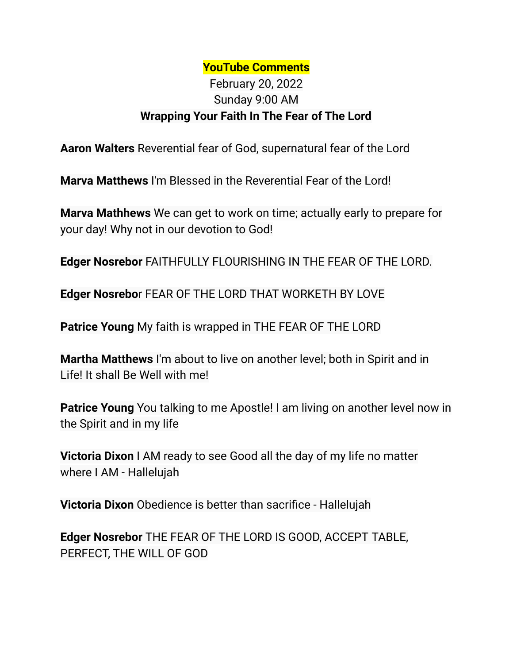## **YouTube Comments**

## February 20, 2022 Sunday 9:00 AM **Wrapping Your Faith In The Fear of The Lord**

**Aaron Walters** Reverential fear of God, supernatural fear of the Lord

**Marva Matthews** I'm Blessed in the Reverential Fear of the Lord!

**Marva Mathhews** We can get to work on time; actually early to prepare for your day! Why not in our devotion to God!

**Edger Nosrebor** FAITHFULLY FLOURISHING IN THE FEAR OF THE LORD.

**Edger Nosrebo**r FEAR OF THE LORD THAT WORKETH BY LOVE

**Patrice Young** My faith is wrapped in THE FEAR OF THE LORD

**Martha Matthews** I'm about to live on another level; both in Spirit and in Life! It shall Be Well with me!

**Patrice Young** You talking to me Apostle! I am living on another level now in the Spirit and in my life

**Victoria Dixon** I AM ready to see Good all the day of my life no matter where I AM - Hallelujah

**Victoria Dixon** Obedience is better than sacrifice - Hallelujah

**Edger Nosrebor** THE FEAR OF THE LORD IS GOOD, ACCEPT TABLE, PERFECT, THE WILL OF GOD